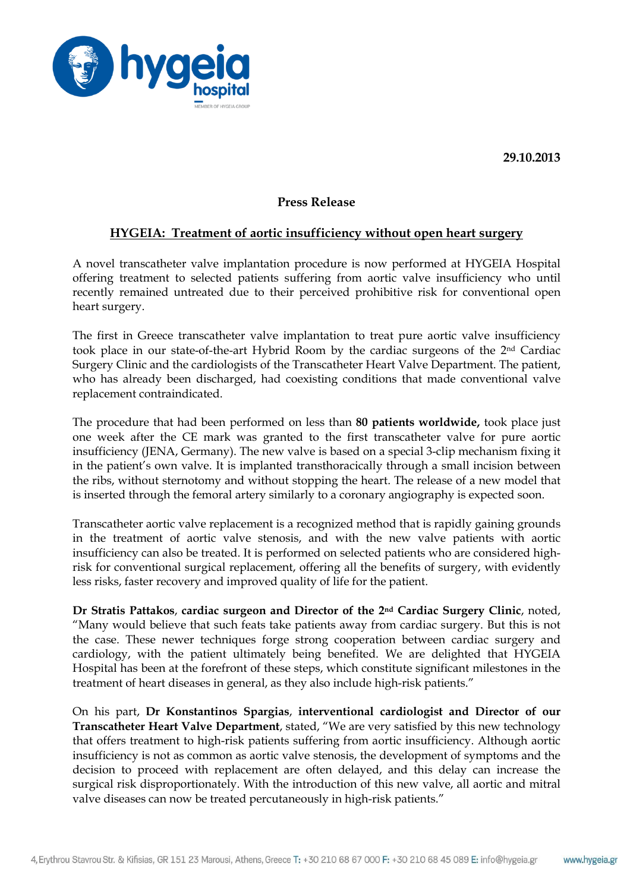**29.10.2013**



## **Press Release**

## **HYGEIA: Treatment of aortic insufficiency without open heart surgery**

A novel transcatheter valve implantation procedure is now performed at HYGEIA Hospital offering treatment to selected patients suffering from aortic valve insufficiency who until recently remained untreated due to their perceived prohibitive risk for conventional open heart surgery.

The first in Greece transcatheter valve implantation to treat pure aortic valve insufficiency took place in our state-of-the-art Hybrid Room by the cardiac surgeons of the 2nd Cardiac Surgery Clinic and the cardiologists of the Transcatheter Heart Valve Department. The patient, who has already been discharged, had coexisting conditions that made conventional valve replacement contraindicated.

The procedure that had been performed on less than **80 patients worldwide,** took place just one week after the CE mark was granted to the first transcatheter valve for pure aortic insufficiency (JENA, Germany). The new valve is based on a special 3-clip mechanism fixing it in the patient's own valve. It is implanted transthoracically through a small incision between the ribs, without sternotomy and without stopping the heart. The release of a new model that is inserted through the femoral artery similarly to a coronary angiography is expected soon.

Transcatheter aortic valve replacement is a recognized method that is rapidly gaining grounds in the treatment of aortic valve stenosis, and with the new valve patients with aortic insufficiency can also be treated. It is performed on selected patients who are considered highrisk for conventional surgical replacement, offering all the benefits of surgery, with evidently less risks, faster recovery and improved quality of life for the patient.

**Dr Stratis Pattakos**, **cardiac surgeon and Director of the 2nd Cardiac Surgery Clinic**, noted, "Many would believe that such feats take patients away from cardiac surgery. But this is not the case. These newer techniques forge strong cooperation between cardiac surgery and cardiology, with the patient ultimately being benefited. We are delighted that HYGEIA Hospital has been at the forefront of these steps, which constitute significant milestones in the treatment of heart diseases in general, as they also include high-risk patients."

On his part, **Dr Konstantinos Spargias**, **interventional cardiologist and Director of our Transcatheter Heart Valve Department**, stated, "We are very satisfied by this new technology that offers treatment to high-risk patients suffering from aortic insufficiency. Although aortic insufficiency is not as common as aortic valve stenosis, the development of symptoms and the decision to proceed with replacement are often delayed, and this delay can increase the surgical risk disproportionately. With the introduction of this new valve, all aortic and mitral valve diseases can now be treated percutaneously in high-risk patients."